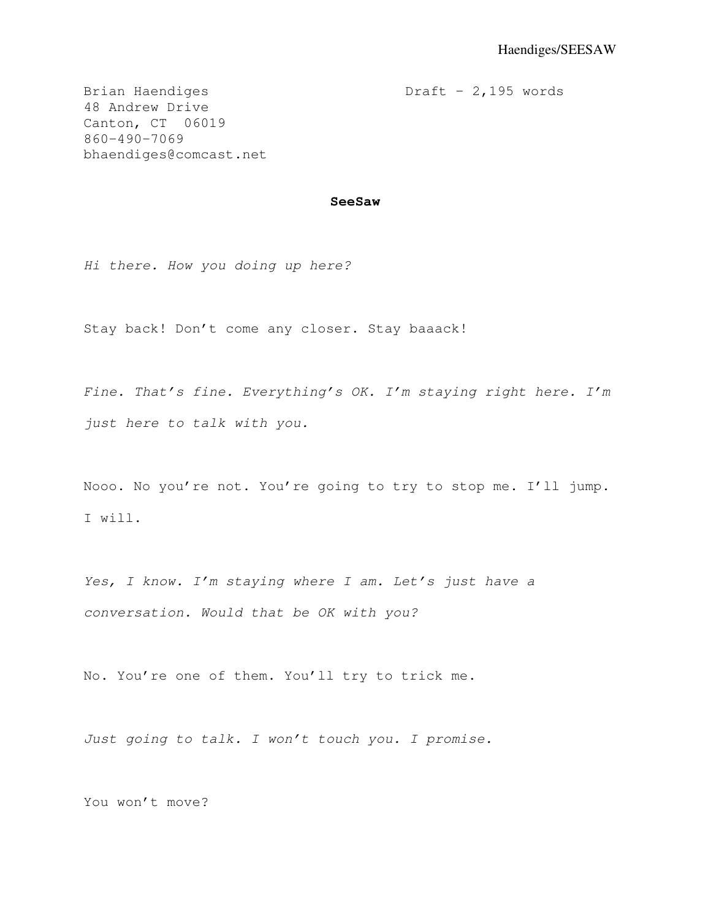Brian Haendiges Draft - 2,195 words

48 Andrew Drive Canton, CT 06019 860-490-7069 bhaendiges@comcast.net

## **SeeSaw**

Hi there. How you doing up here?

Stay back! Don't come any closer. Stay baaack!

Fine. That's fine. Everything's OK. I'm staying right here. I'm just here to talk with you.

Nooo. No you're not. You're going to try to stop me. I'll jump. I will.

Yes, I know. I'm staying where I am. Let's just have a conversation. Would that be OK with you?

No. You're one of them. You'll try to trick me.

Just going to talk. I won't touch you. I promise.

You won't move?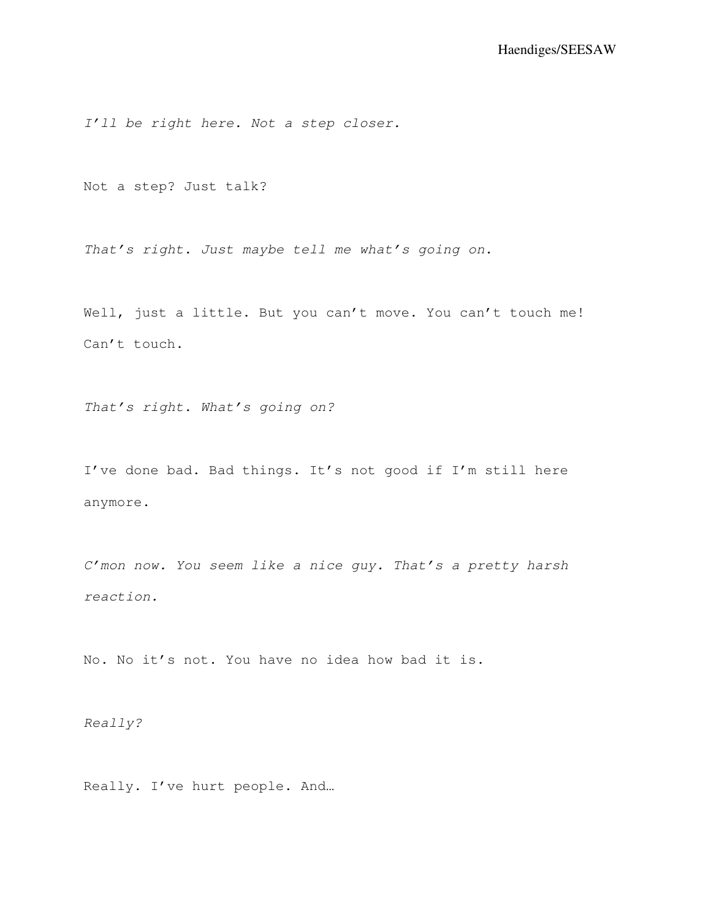I'll be right here. Not a step closer.

Not a step? Just talk?

That's right. Just maybe tell me what's going on.

Well, just a little. But you can't move. You can't touch me! Can't touch.

That's right. What's going on?

I've done bad. Bad things. It's not good if I'm still here anymore.

C'mon now. You seem like a nice guy. That's a pretty harsh reaction.

No. No it's not. You have no idea how bad it is.

Really?

Really. I've hurt people. And…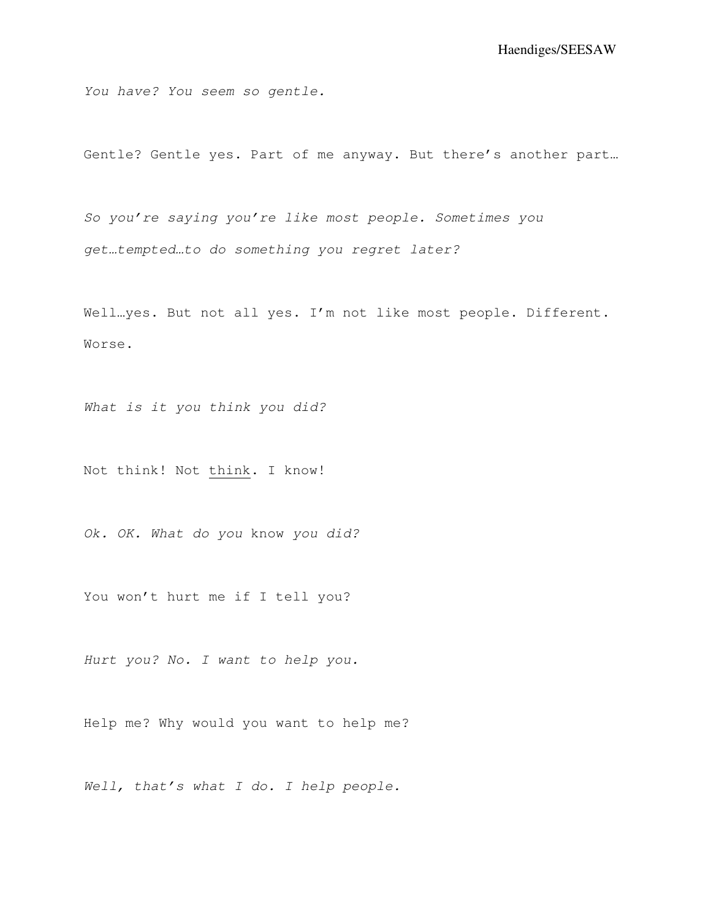You have? You seem so gentle.

Gentle? Gentle yes. Part of me anyway. But there's another part…

So you're saying you're like most people. Sometimes you get…tempted…to do something you regret later?

Well…yes. But not all yes. I'm not like most people. Different. Worse.

What is it you think you did?

Not think! Not think. I know!

Ok. OK. What do you know you did?

You won't hurt me if I tell you?

Hurt you? No. I want to help you.

Help me? Why would you want to help me?

Well, that's what I do. I help people.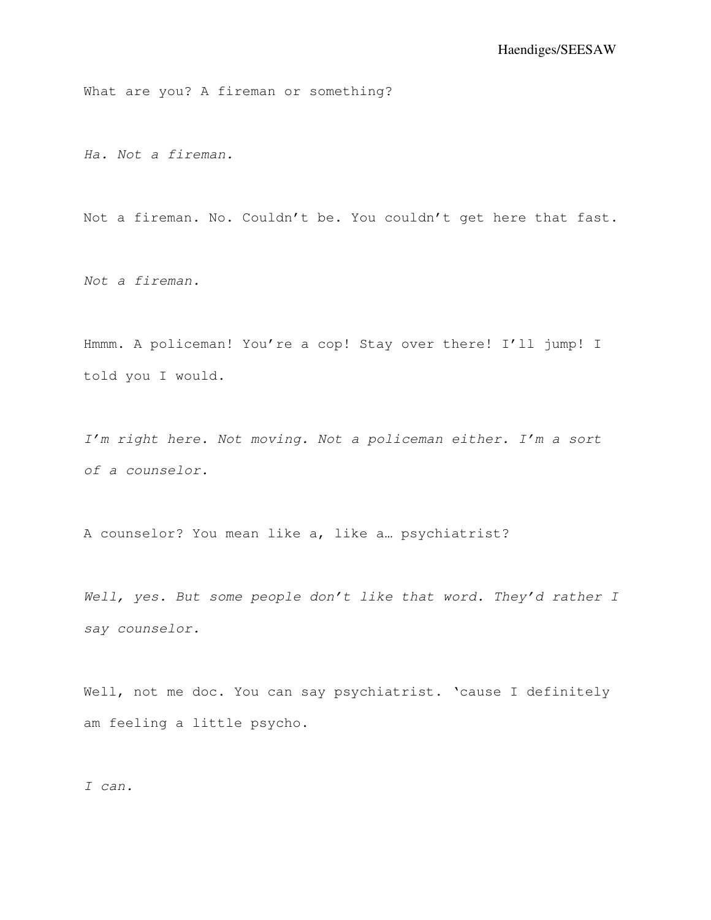What are you? A fireman or something?

Ha. Not a fireman.

Not a fireman. No. Couldn't be. You couldn't get here that fast.

Not a fireman.

Hmmm. A policeman! You're a cop! Stay over there! I'll jump! I told you I would.

I'm right here. Not moving. Not a policeman either. I'm a sort of a counselor.

A counselor? You mean like a, like a… psychiatrist?

Well, yes. But some people don't like that word. They'd rather I say counselor.

Well, not me doc. You can say psychiatrist. 'cause I definitely am feeling a little psycho.

I can.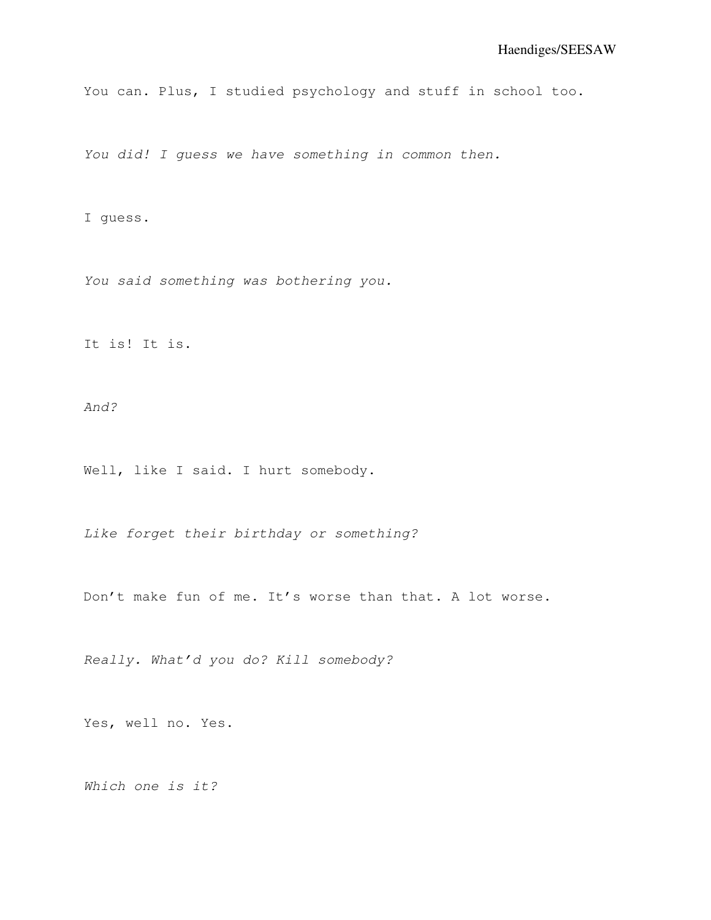You can. Plus, I studied psychology and stuff in school too.

You did! I quess we have something in common then.

I guess.

You said something was bothering you.

It is! It is.

And?

Well, like I said. I hurt somebody.

Like forget their birthday or something?

Don't make fun of me. It's worse than that. A lot worse.

Really. What'd you do? Kill somebody?

Yes, well no. Yes.

Which one is it?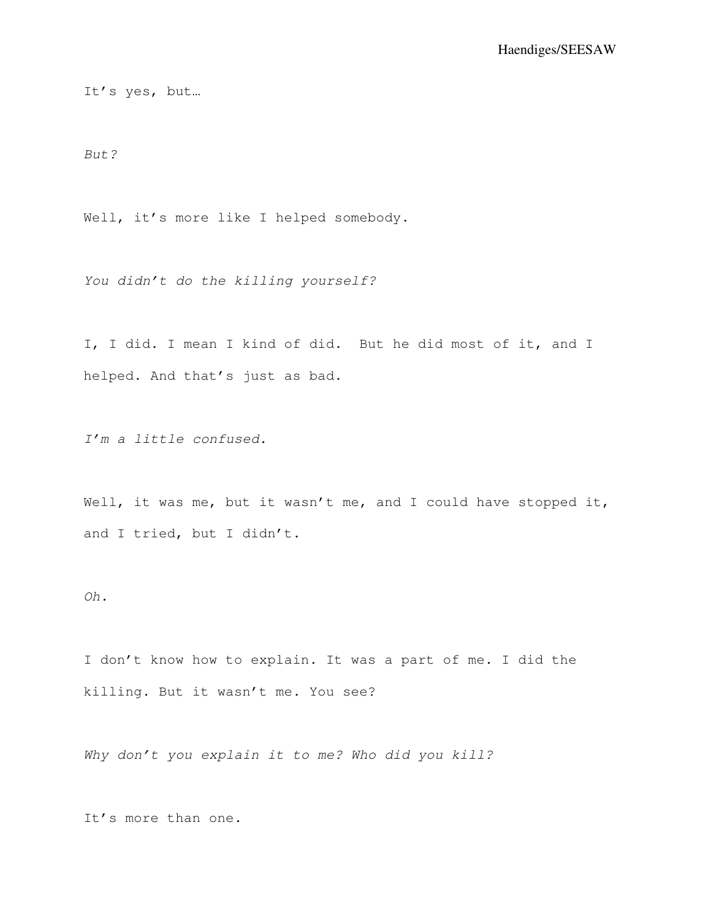It's yes, but…

But?

Well, it's more like I helped somebody.

You didn't do the killing yourself?

I, I did. I mean I kind of did. But he did most of it, and I helped. And that's just as bad.

I'm a little confused.

Well, it was me, but it wasn't me, and I could have stopped it, and I tried, but I didn't.

Oh.

I don't know how to explain. It was a part of me. I did the killing. But it wasn't me. You see?

Why don't you explain it to me? Who did you kill?

It's more than one.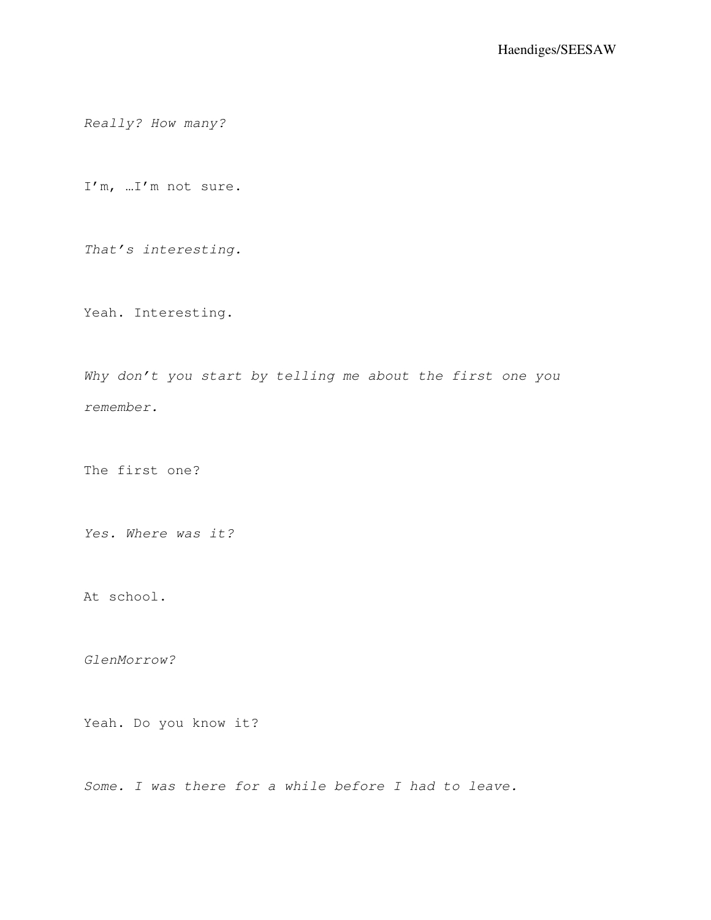Really? How many?

I'm, …I'm not sure.

That's interesting.

Yeah. Interesting.

Why don't you start by telling me about the first one you remember.

The first one?

Yes. Where was it?

At school.

GlenMorrow?

Yeah. Do you know it?

Some. I was there for a while before I had to leave.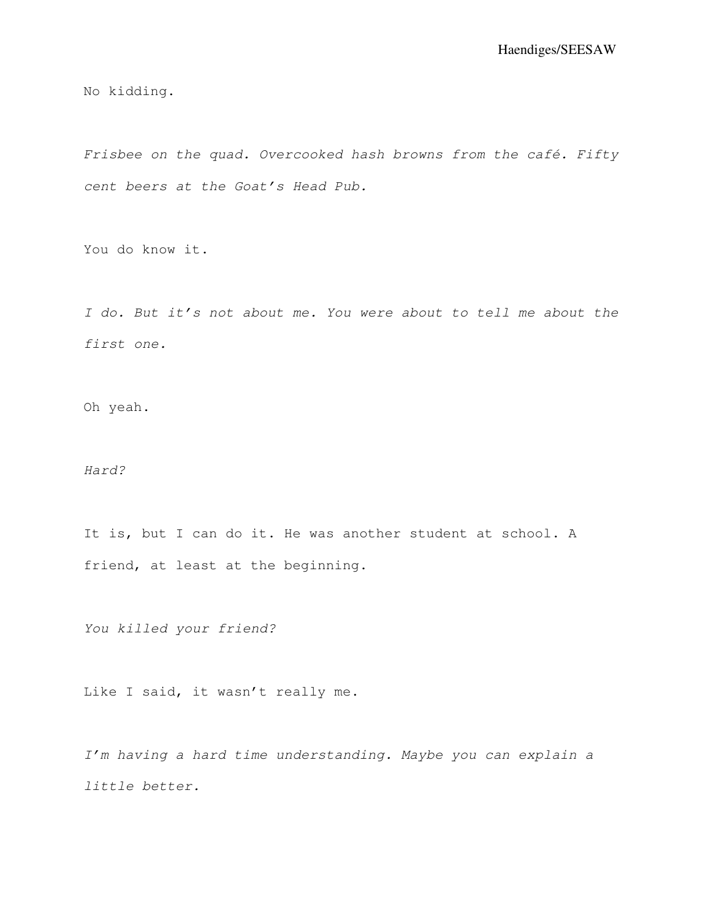No kidding.

Frisbee on the quad. Overcooked hash browns from the café. Fifty cent beers at the Goat's Head Pub.

You do know it.

I do. But it's not about me. You were about to tell me about the first one.

Oh yeah.

Hard?

It is, but I can do it. He was another student at school. A friend, at least at the beginning.

You killed your friend?

Like I said, it wasn't really me.

I'm having a hard time understanding. Maybe you can explain a little better.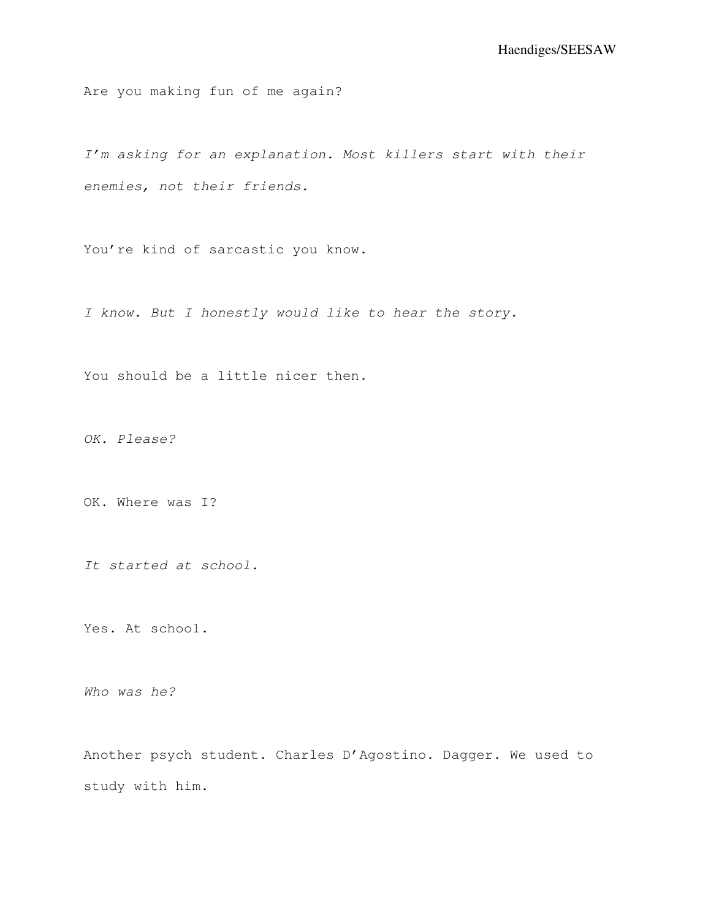Are you making fun of me again?

I'm asking for an explanation. Most killers start with their enemies, not their friends.

You're kind of sarcastic you know.

I know. But I honestly would like to hear the story.

You should be a little nicer then.

OK. Please?

OK. Where was I?

It started at school.

Yes. At school.

Who was he?

Another psych student. Charles D'Agostino. Dagger. We used to study with him.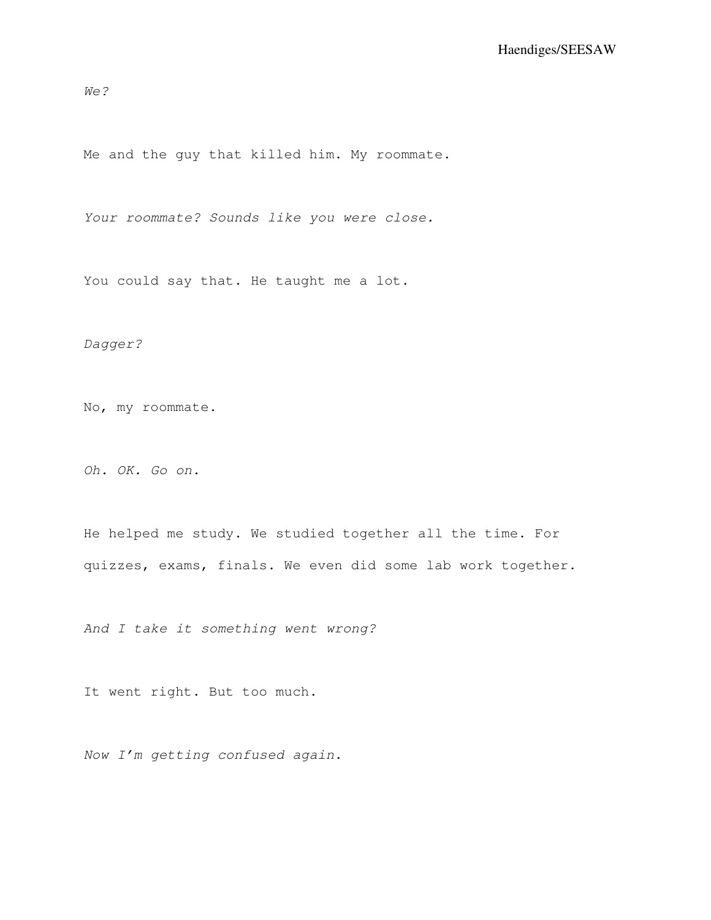We?

Me and the guy that killed him. My roommate.

Your roommate? Sounds like you were close.

You could say that. He taught me a lot.

Dagger?

No, my roommate.

Oh. OK. Go on.

He helped me study. We studied together all the time. For quizzes, exams, finals. We even did some lab work together.

And I take it something went wrong?

It went right. But too much.

Now I'm getting confused again.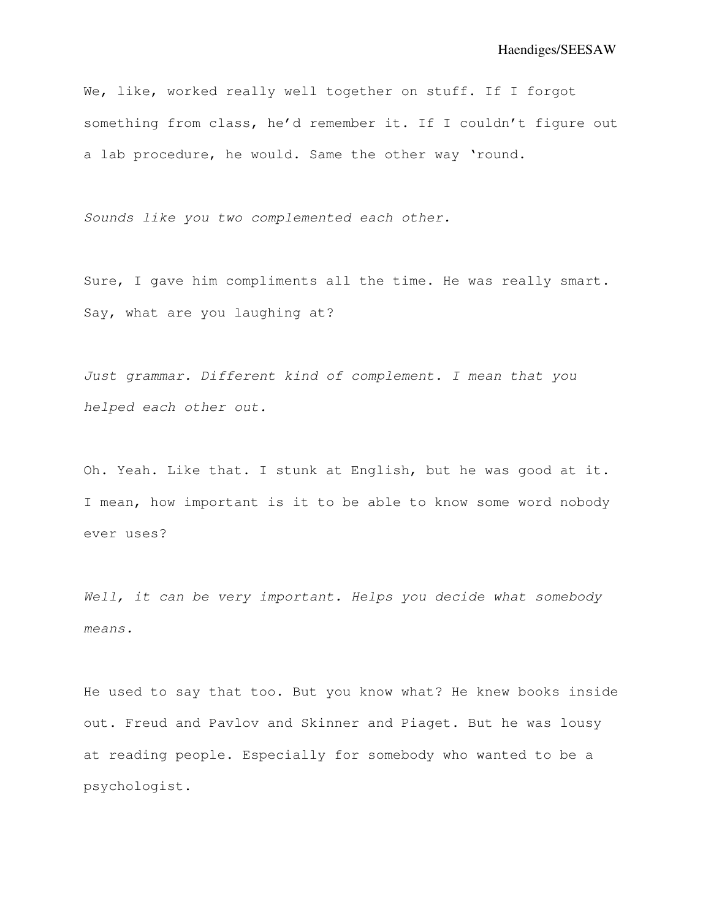We, like, worked really well together on stuff. If I forgot something from class, he'd remember it. If I couldn't figure out a lab procedure, he would. Same the other way 'round.

Sounds like you two complemented each other.

Sure, I gave him compliments all the time. He was really smart. Say, what are you laughing at?

Just grammar. Different kind of complement. I mean that you helped each other out.

Oh. Yeah. Like that. I stunk at English, but he was good at it. I mean, how important is it to be able to know some word nobody ever uses?

Well, it can be very important. Helps you decide what somebody means.

He used to say that too. But you know what? He knew books inside out. Freud and Pavlov and Skinner and Piaget. But he was lousy at reading people. Especially for somebody who wanted to be a psychologist.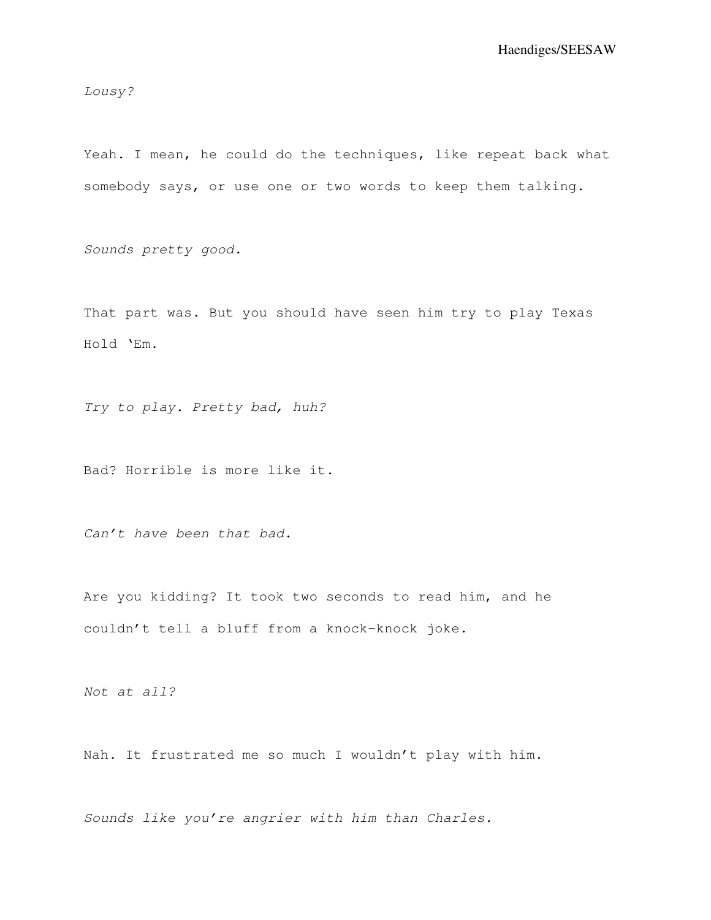Lousy?

Yeah. I mean, he could do the techniques, like repeat back what somebody says, or use one or two words to keep them talking.

Sounds pretty good.

That part was. But you should have seen him try to play Texas Hold 'Em.

Try to play. Pretty bad, huh?

Bad? Horrible is more like it.

Can't have been that bad.

Are you kidding? It took two seconds to read him, and he couldn't tell a bluff from a knock-knock joke.

Not at all?

Nah. It frustrated me so much I wouldn't play with him.

Sounds like you're angrier with him than Charles.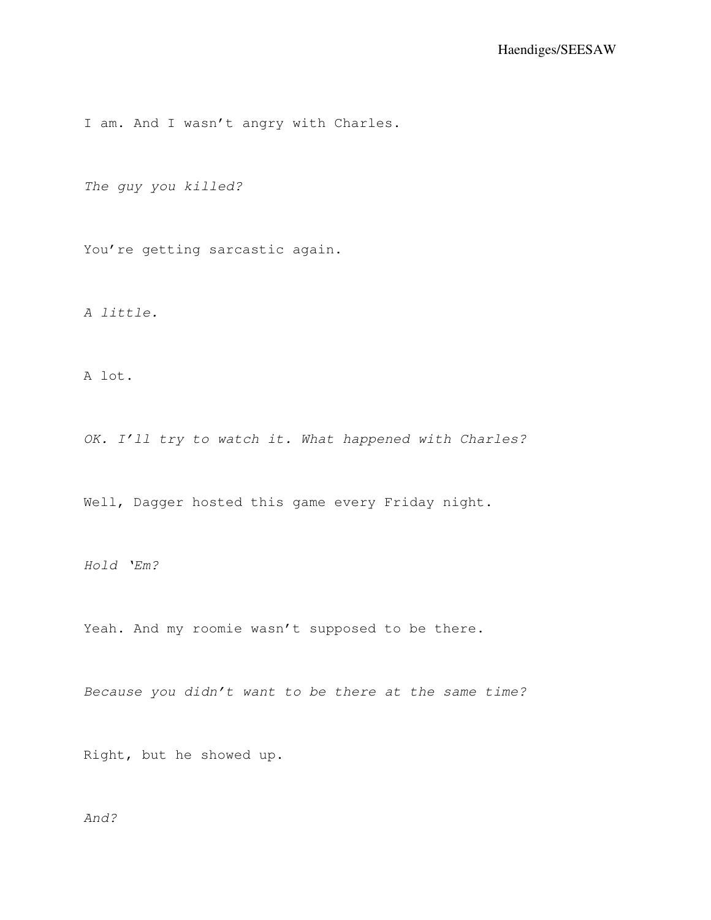I am. And I wasn't angry with Charles.

The guy you killed?

You're getting sarcastic again.

A little.

A lot.

OK. I'll try to watch it. What happened with Charles?

Well, Dagger hosted this game every Friday night.

Hold 'Em?

Yeah. And my roomie wasn't supposed to be there.

Because you didn't want to be there at the same time?

Right, but he showed up.

And?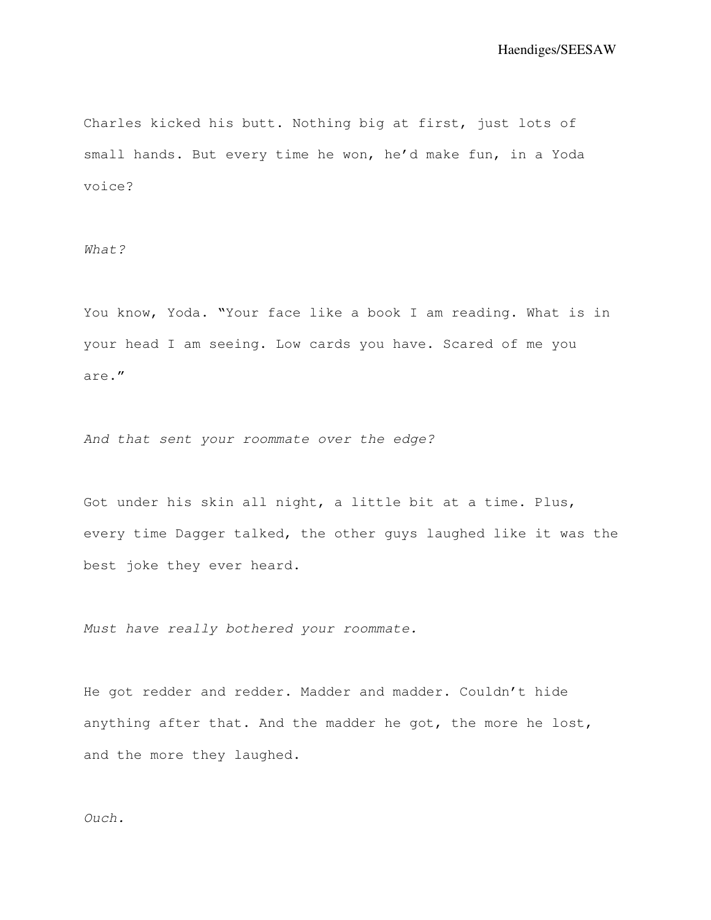Charles kicked his butt. Nothing big at first, just lots of small hands. But every time he won, he'd make fun, in a Yoda voice?

What?

You know, Yoda. "Your face like a book I am reading. What is in your head I am seeing. Low cards you have. Scared of me you are."

And that sent your roommate over the edge?

Got under his skin all night, a little bit at a time. Plus, every time Dagger talked, the other guys laughed like it was the best joke they ever heard.

Must have really bothered your roommate.

He got redder and redder. Madder and madder. Couldn't hide anything after that. And the madder he got, the more he lost, and the more they laughed.

## Ouch.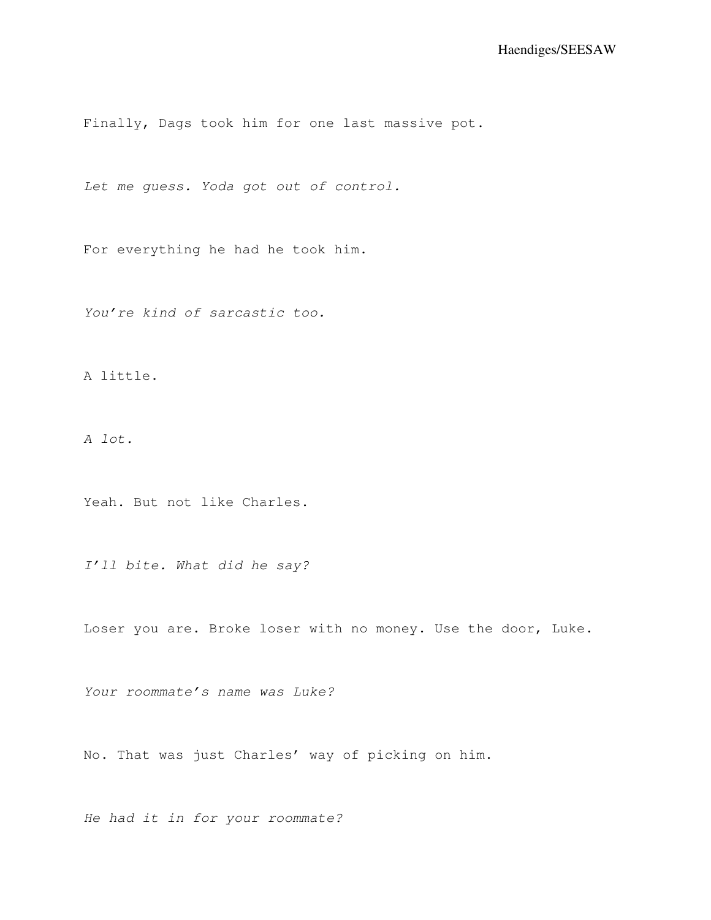Finally, Dags took him for one last massive pot.

Let me guess. Yoda got out of control.

For everything he had he took him.

You're kind of sarcastic too.

A little.

A lot.

Yeah. But not like Charles.

I'll bite. What did he say?

Loser you are. Broke loser with no money. Use the door, Luke.

Your roommate's name was Luke?

No. That was just Charles' way of picking on him.

He had it in for your roommate?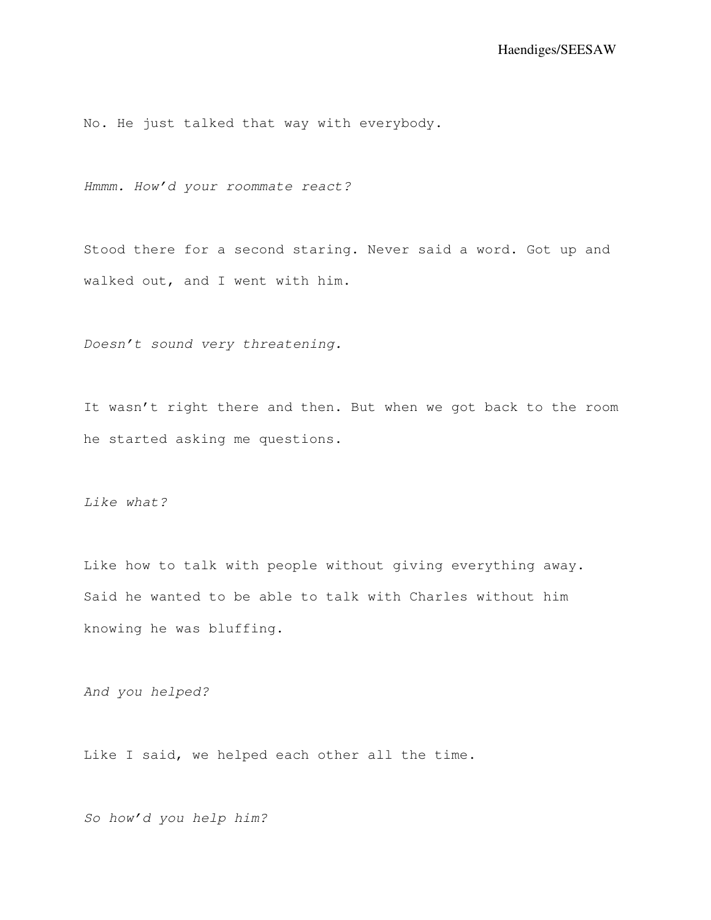No. He just talked that way with everybody.

Hmmm. How'd your roommate react?

Stood there for a second staring. Never said a word. Got up and walked out, and I went with him.

Doesn't sound very threatening.

It wasn't right there and then. But when we got back to the room he started asking me questions.

Like what?

Like how to talk with people without giving everything away. Said he wanted to be able to talk with Charles without him knowing he was bluffing.

And you helped?

Like I said, we helped each other all the time.

So how'd you help him?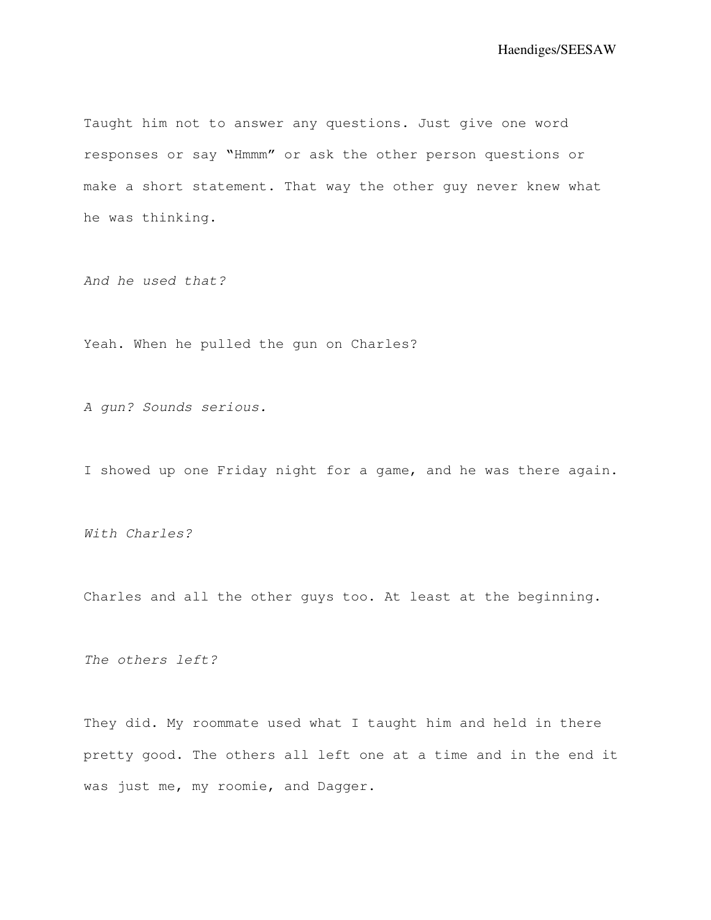Taught him not to answer any questions. Just give one word responses or say "Hmmm" or ask the other person questions or make a short statement. That way the other guy never knew what he was thinking.

And he used that?

Yeah. When he pulled the gun on Charles?

A gun? Sounds serious.

I showed up one Friday night for a game, and he was there again.

With Charles?

Charles and all the other guys too. At least at the beginning.

The others left?

They did. My roommate used what I taught him and held in there pretty good. The others all left one at a time and in the end it was just me, my roomie, and Dagger.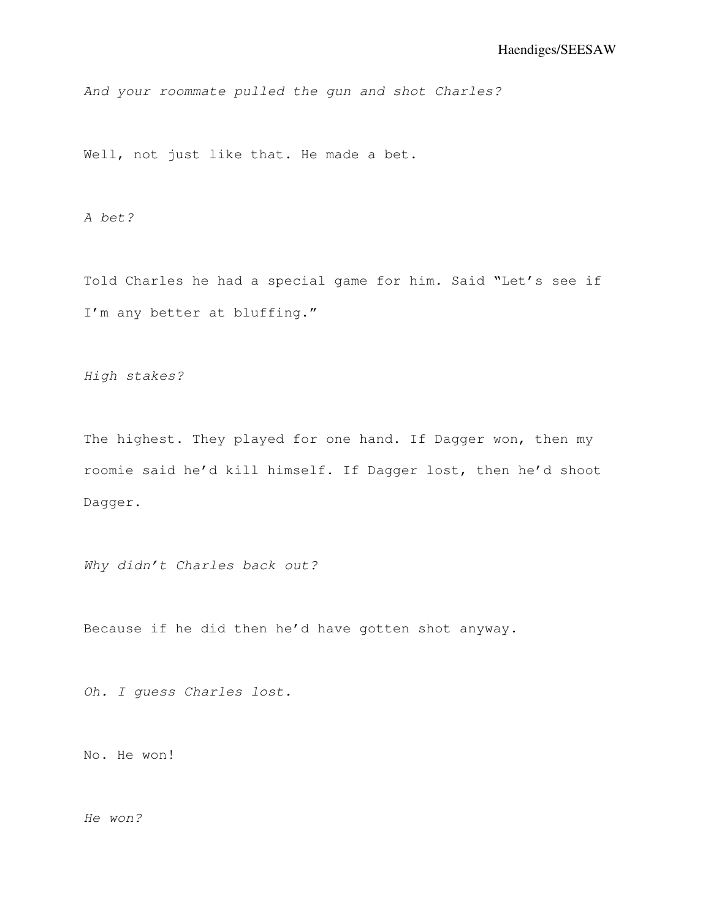And your roommate pulled the gun and shot Charles?

Well, not just like that. He made a bet.

A bet?

Told Charles he had a special game for him. Said "Let's see if I'm any better at bluffing."

High stakes?

The highest. They played for one hand. If Dagger won, then my roomie said he'd kill himself. If Dagger lost, then he'd shoot Dagger.

Why didn't Charles back out?

Because if he did then he'd have gotten shot anyway.

Oh. I guess Charles lost.

No. He won!

He won?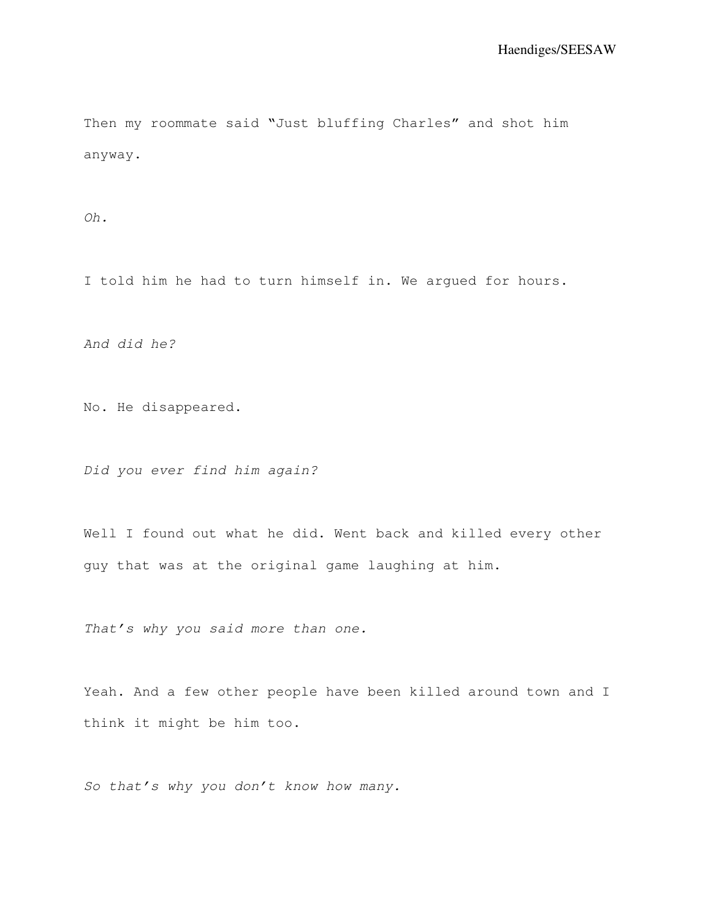Then my roommate said "Just bluffing Charles" and shot him anyway.

Oh.

I told him he had to turn himself in. We argued for hours.

And did he?

No. He disappeared.

Did you ever find him again?

Well I found out what he did. Went back and killed every other guy that was at the original game laughing at him.

That's why you said more than one.

Yeah. And a few other people have been killed around town and I think it might be him too.

So that's why you don't know how many.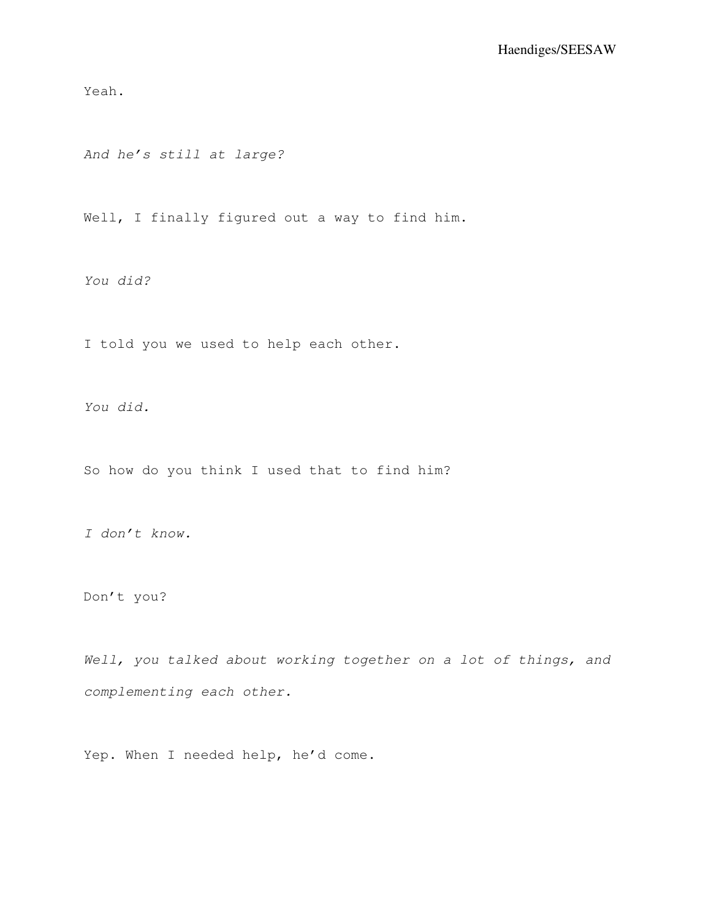Yeah.

And he's still at large?

Well, I finally figured out a way to find him.

You did?

I told you we used to help each other.

You did.

So how do you think I used that to find him?

I don't know.

Don't you?

Well, you talked about working together on a lot of things, and complementing each other.

Yep. When I needed help, he'd come.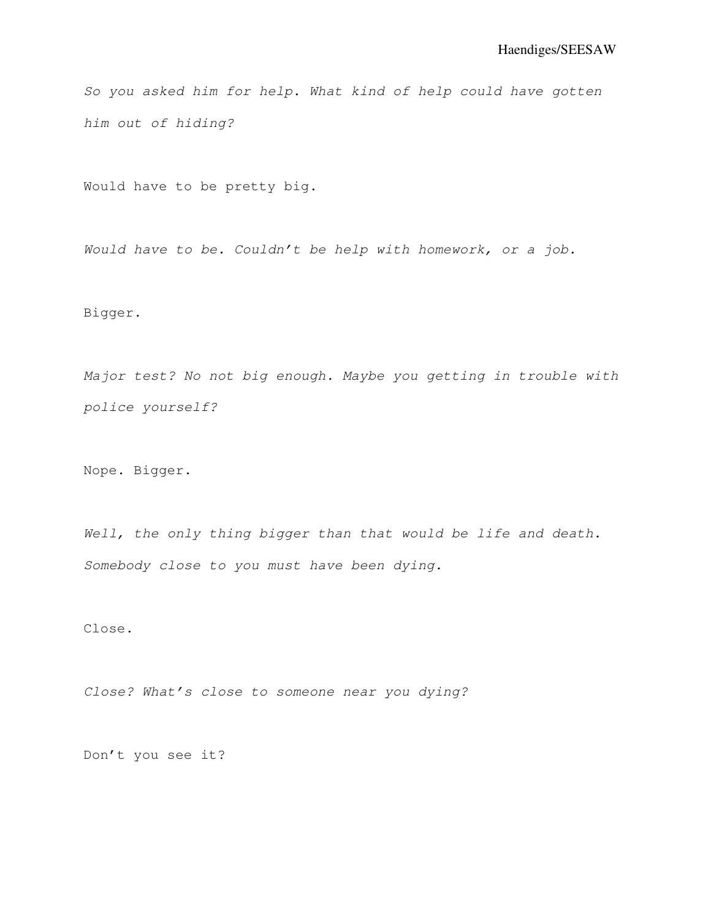So you asked him for help. What kind of help could have gotten him out of hiding?

Would have to be pretty big.

Would have to be. Couldn't be help with homework, or a job.

Bigger.

Major test? No not big enough. Maybe you getting in trouble with police yourself?

Nope. Bigger.

Well, the only thing bigger than that would be life and death. Somebody close to you must have been dying.

Close.

Close? What's close to someone near you dying?

Don't you see it?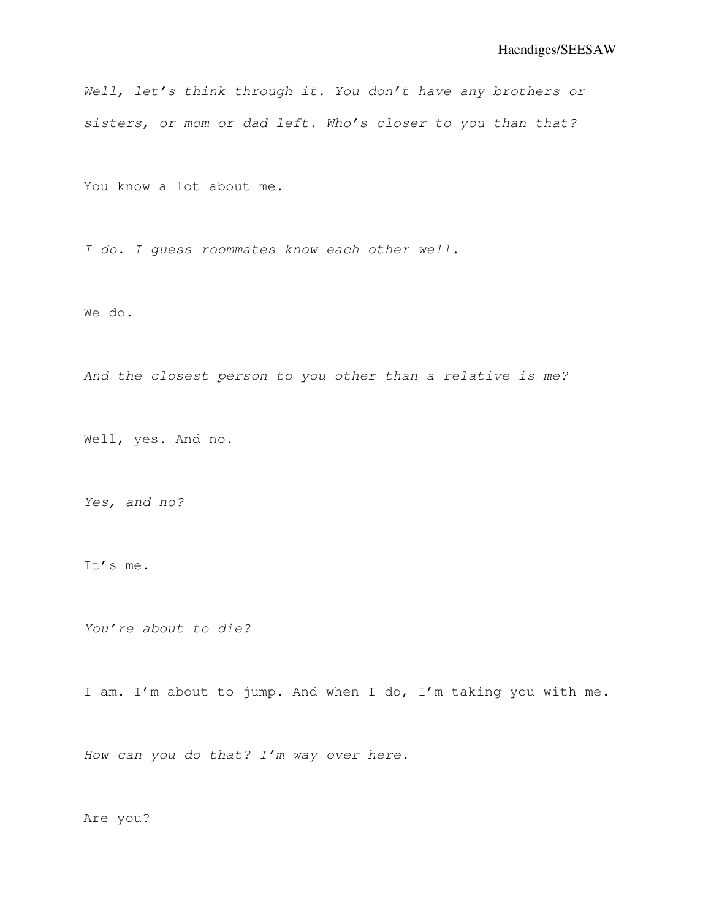Well, let's think through it. You don't have any brothers or sisters, or mom or dad left. Who's closer to you than that?

You know a lot about me.

I do. I guess roommates know each other well.

We do.

And the closest person to you other than a relative is me?

Well, yes. And no.

Yes, and no?

It's me.

You're about to die?

I am. I'm about to jump. And when I do, I'm taking you with me.

How can you do that? I'm way over here.

Are you?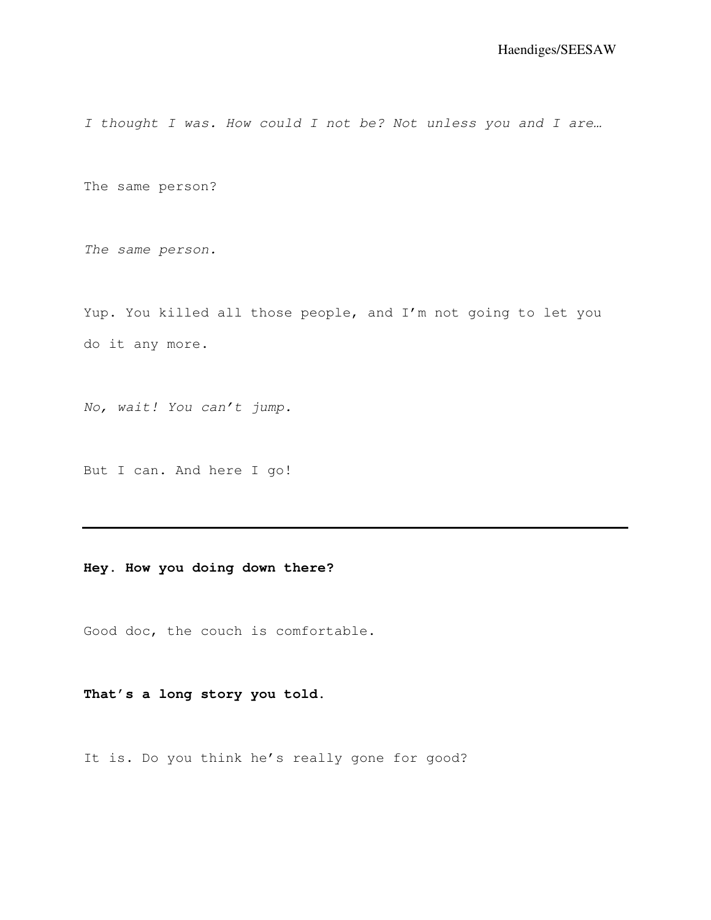I thought I was. How could I not be? Not unless you and I are...

The same person?

The same person.

Yup. You killed all those people, and I'm not going to let you do it any more.

No, wait! You can't jump.

But I can. And here I go!

## **Hey. How you doing down there?**

Good doc, the couch is comfortable.

## **That's a long story you told.**

It is. Do you think he's really gone for good?